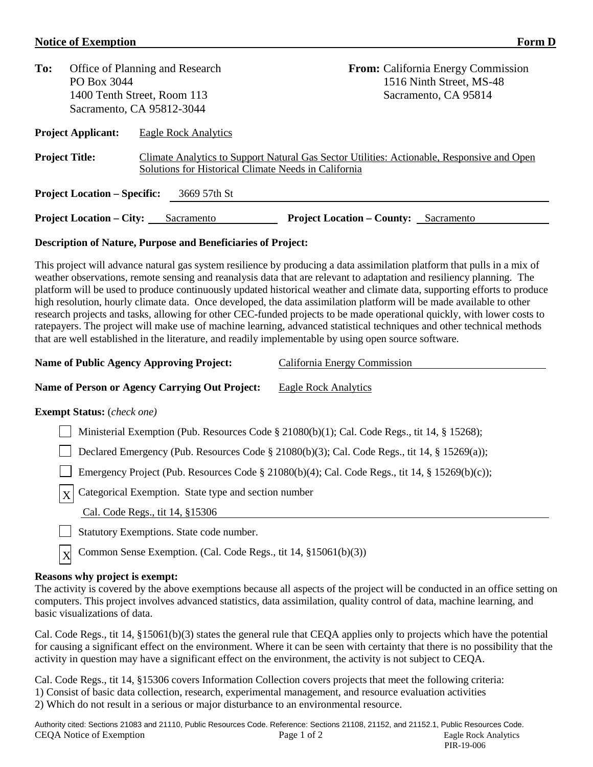## **Notice of Exemption Form D**

| To:                                                 | PO Box 3044                     | Office of Planning and Research<br>1400 Tenth Street, Room 113<br>Sacramento, CA 95812-3044                                                        |                                              | <b>From:</b> California Energy Commission<br>1516 Ninth Street, MS-48<br>Sacramento, CA 95814 |  |  |  |  |
|-----------------------------------------------------|---------------------------------|----------------------------------------------------------------------------------------------------------------------------------------------------|----------------------------------------------|-----------------------------------------------------------------------------------------------|--|--|--|--|
| <b>Project Applicant:</b>                           |                                 | Eagle Rock Analytics                                                                                                                               |                                              |                                                                                               |  |  |  |  |
| <b>Project Title:</b>                               |                                 | Climate Analytics to Support Natural Gas Sector Utilities: Actionable, Responsive and Open<br>Solutions for Historical Climate Needs in California |                                              |                                                                                               |  |  |  |  |
| <b>Project Location – Specific:</b><br>3669 57th St |                                 |                                                                                                                                                    |                                              |                                                                                               |  |  |  |  |
|                                                     | <b>Project Location – City:</b> | Sacramento                                                                                                                                         | <b>Project Location – County:</b> Sacramento |                                                                                               |  |  |  |  |
|                                                     |                                 |                                                                                                                                                    |                                              |                                                                                               |  |  |  |  |

## **Description of Nature, Purpose and Beneficiaries of Project:**

This project will advance natural gas system resilience by producing a data assimilation platform that pulls in a mix of weather observations, remote sensing and reanalysis data that are relevant to adaptation and resiliency planning. The platform will be used to produce continuously updated historical weather and climate data, supporting efforts to produce high resolution, hourly climate data. Once developed, the data assimilation platform will be made available to other research projects and tasks, allowing for other CEC-funded projects to be made operational quickly, with lower costs to ratepayers. The project will make use of machine learning, advanced statistical techniques and other technical methods that are well established in the literature, and readily implementable by using open source software.

| <b>Name of Public Agency Approving Project:</b>                                                | California Energy Commission |  |  |  |  |
|------------------------------------------------------------------------------------------------|------------------------------|--|--|--|--|
| Name of Person or Agency Carrying Out Project:                                                 | Eagle Rock Analytics         |  |  |  |  |
| <b>Exempt Status:</b> ( <i>check one</i> )                                                     |                              |  |  |  |  |
| Ministerial Exemption (Pub. Resources Code § 21080(b)(1); Cal. Code Regs., tit 14, § 15268);   |                              |  |  |  |  |
| Declared Emergency (Pub. Resources Code § 21080(b)(3); Cal. Code Regs., tit 14, § 15269(a));   |                              |  |  |  |  |
| Emergency Project (Pub. Resources Code § 21080(b)(4); Cal. Code Regs., tit 14, § 15269(b)(c)); |                              |  |  |  |  |
| rel Catagorical Examples State type and section number                                         |                              |  |  |  |  |

 $X$  Categorical Exemption. State type and section number

Cal. Code Regs., tit 14, §15306

Statutory Exemptions. State code number.

Common Sense Exemption. (Cal. Code Regs., tit 14, §15061(b)(3))

## **Reasons why project is exempt:**

X

The activity is covered by the above exemptions because all aspects of the project will be conducted in an office setting on computers. This project involves advanced statistics, data assimilation, quality control of data, machine learning, and basic visualizations of data.

Cal. Code Regs., tit 14, §15061(b)(3) states the general rule that CEQA applies only to projects which have the potential for causing a significant effect on the environment. Where it can be seen with certainty that there is no possibility that the activity in question may have a significant effect on the environment, the activity is not subject to CEQA.

Cal. Code Regs., tit 14, §15306 covers Information Collection covers projects that meet the following criteria: 1) Consist of basic data collection, research, experimental management, and resource evaluation activities 2) Which do not result in a serious or major disturbance to an environmental resource.